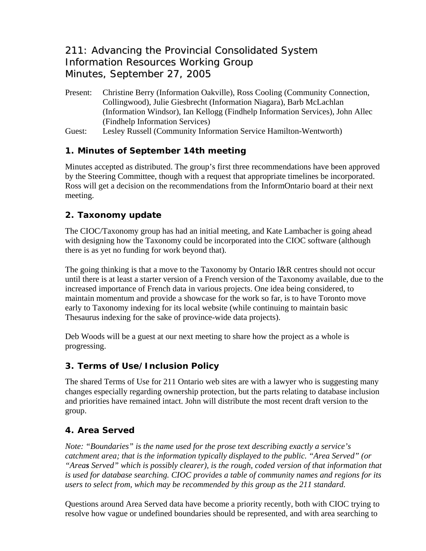# 211: Advancing the Provincial Consolidated System Information Resources Working Group Minutes, September 27, 2005

Present: Christine Berry (Information Oakville), Ross Cooling (Community Connection, Collingwood), Julie Giesbrecht (Information Niagara), Barb McLachlan (Information Windsor), Ian Kellogg (Findhelp Information Services), John Allec (Findhelp Information Services)

Guest: Lesley Russell (Community Information Service Hamilton-Wentworth)

## **1. Minutes of September 14th meeting**

Minutes accepted as distributed. The group's first three recommendations have been approved by the Steering Committee, though with a request that appropriate timelines be incorporated. Ross will get a decision on the recommendations from the InformOntario board at their next meeting.

## **2. Taxonomy update**

The CIOC/Taxonomy group has had an initial meeting, and Kate Lambacher is going ahead with designing how the Taxonomy could be incorporated into the CIOC software (although there is as yet no funding for work beyond that).

The going thinking is that a move to the Taxonomy by Ontario I&R centres should not occur until there is at least a starter version of a French version of the Taxonomy available, due to the increased importance of French data in various projects. One idea being considered, to maintain momentum and provide a showcase for the work so far, is to have Toronto move early to Taxonomy indexing for its local website (while continuing to maintain basic Thesaurus indexing for the sake of province-wide data projects).

Deb Woods will be a guest at our next meeting to share how the project as a whole is progressing.

## **3. Terms of Use/Inclusion Policy**

The shared Terms of Use for 211 Ontario web sites are with a lawyer who is suggesting many changes especially regarding ownership protection, but the parts relating to database inclusion and priorities have remained intact. John will distribute the most recent draft version to the group.

## **4. Area Served**

*Note: "Boundaries" is the name used for the prose text describing exactly a service's catchment area; that is the information typically displayed to the public. "Area Served" (or "Areas Served" which is possibly clearer), is the rough, coded version of that information that is used for database searching. CIOC provides a table of community names and regions for its users to select from, which may be recommended by this group as the 211 standard.* 

Questions around Area Served data have become a priority recently, both with CIOC trying to resolve how vague or undefined boundaries should be represented, and with area searching to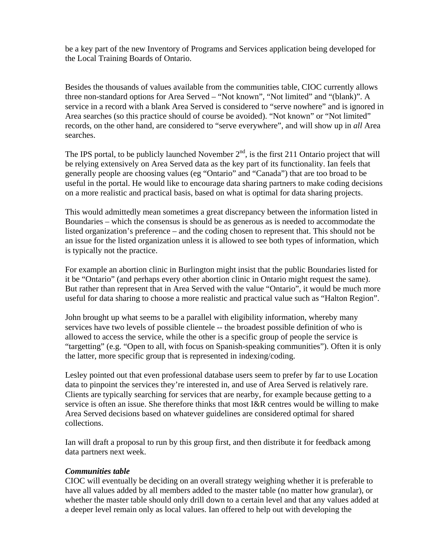be a key part of the new Inventory of Programs and Services application being developed for the Local Training Boards of Ontario.

Besides the thousands of values available from the communities table, CIOC currently allows three non-standard options for Area Served – "Not known", "Not limited" and "(blank)". A service in a record with a blank Area Served is considered to "serve nowhere" and is ignored in Area searches (so this practice should of course be avoided). "Not known" or "Not limited" records, on the other hand, are considered to "serve everywhere", and will show up in *all* Area searches.

The IPS portal, to be publicly launched November  $2<sup>nd</sup>$ , is the first 211 Ontario project that will be relying extensively on Area Served data as the key part of its functionality. Ian feels that generally people are choosing values (eg "Ontario" and "Canada") that are too broad to be useful in the portal. He would like to encourage data sharing partners to make coding decisions on a more realistic and practical basis, based on what is optimal for data sharing projects.

This would admittedly mean sometimes a great discrepancy between the information listed in Boundaries – which the consensus is should be as generous as is needed to accommodate the listed organization's preference – and the coding chosen to represent that. This should not be an issue for the listed organization unless it is allowed to see both types of information, which is typically not the practice.

For example an abortion clinic in Burlington might insist that the public Boundaries listed for it be "Ontario" (and perhaps every other abortion clinic in Ontario might request the same). But rather than represent that in Area Served with the value "Ontario", it would be much more useful for data sharing to choose a more realistic and practical value such as "Halton Region".

John brought up what seems to be a parallel with eligibility information, whereby many services have two levels of possible clientele -- the broadest possible definition of who is allowed to access the service, while the other is a specific group of people the service is "targetting" (e.g. "Open to all, with focus on Spanish-speaking communities"). Often it is only the latter, more specific group that is represented in indexing/coding.

Lesley pointed out that even professional database users seem to prefer by far to use Location data to pinpoint the services they're interested in, and use of Area Served is relatively rare. Clients are typically searching for services that are nearby, for example because getting to a service is often an issue. She therefore thinks that most I&R centres would be willing to make Area Served decisions based on whatever guidelines are considered optimal for shared collections.

Ian will draft a proposal to run by this group first, and then distribute it for feedback among data partners next week.

#### *Communities table*

CIOC will eventually be deciding on an overall strategy weighing whether it is preferable to have all values added by all members added to the master table (no matter how granular), or whether the master table should only drill down to a certain level and that any values added at a deeper level remain only as local values. Ian offered to help out with developing the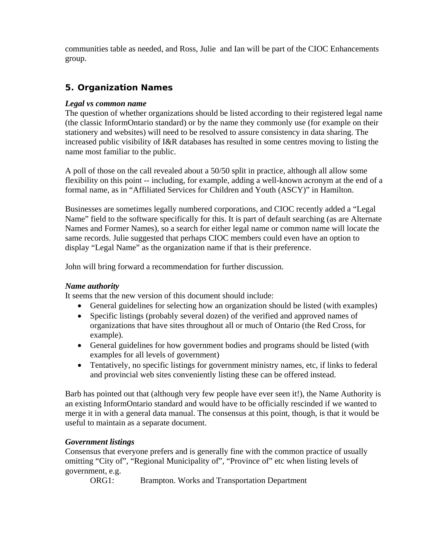communities table as needed, and Ross, Julie and Ian will be part of the CIOC Enhancements group.

## **5. Organization Names**

#### *Legal vs common name*

The question of whether organizations should be listed according to their registered legal name (the classic InformOntario standard) or by the name they commonly use (for example on their stationery and websites) will need to be resolved to assure consistency in data sharing. The increased public visibility of I&R databases has resulted in some centres moving to listing the name most familiar to the public.

A poll of those on the call revealed about a 50/50 split in practice, although all allow some flexibility on this point -- including, for example, adding a well-known acronym at the end of a formal name, as in "Affiliated Services for Children and Youth (ASCY)" in Hamilton.

Businesses are sometimes legally numbered corporations, and CIOC recently added a "Legal Name" field to the software specifically for this. It is part of default searching (as are Alternate Names and Former Names), so a search for either legal name or common name will locate the same records. Julie suggested that perhaps CIOC members could even have an option to display "Legal Name" as the organization name if that is their preference.

John will bring forward a recommendation for further discussion.

### *Name authority*

It seems that the new version of this document should include:

- General guidelines for selecting how an organization should be listed (with examples)
- Specific listings (probably several dozen) of the verified and approved names of organizations that have sites throughout all or much of Ontario (the Red Cross, for example).
- General guidelines for how government bodies and programs should be listed (with examples for all levels of government)
- Tentatively, no specific listings for government ministry names, etc, if links to federal and provincial web sites conveniently listing these can be offered instead.

Barb has pointed out that (although very few people have ever seen it!), the Name Authority is an existing InformOntario standard and would have to be officially rescinded if we wanted to merge it in with a general data manual. The consensus at this point, though, is that it would be useful to maintain as a separate document.

### *Government listings*

Consensus that everyone prefers and is generally fine with the common practice of usually omitting "City of", "Regional Municipality of", "Province of" etc when listing levels of government, e.g.

ORG1: Brampton. Works and Transportation Department